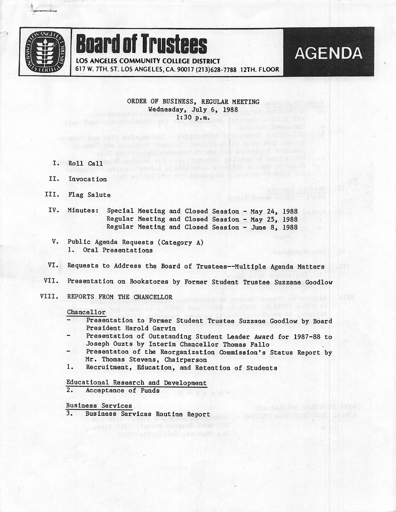

## Board Of Trustees

LOS ANGELES COMMUNITY COLLEGE DISTRICT

617 W. 7TH. ST. LOS ANGELES, CA. 90017 {213)628-7788 12TH. FLOOR

ORDER OF BUSINESS, REGULAR MEETING Wednesday, July 6, 1988  $1:30 p.m.$ 

not but with a nonequel Insurance Plantin

**AGENDA** 

- 1. KOII CAII
- II. lavocation
- III. Flag Salute
- IV. Minutes: Special Meeting and Closed Session - May 24, 1988 Regular Meeting and Closed Session - May 25, 1988 Regular Meeting and Closed Session - June 8, 1988
- $V<sub>z</sub>$ Public Agenda Requests (Category A) 1. Oral Presentations
- VI. Requests to Address the Board of Trustees—Multiple Agenda Matters
- VII. Presentation on Bookstores by Former Student Trustee Suzzane Goodlow
- VIII. REPORTS FROM THE CHANCELLOR

## Chancellor

- Presentation to Former Student Trustee Suzzane Goodlow by Board President Harold Garvin
- Presentation of Outstanding Student Leader Award for 1987-88 to Joseph Ouzts by Interim Chancellor Thomas Fallo<br>Presentaton of the Reorganization Commission's Status Report by
- Mr. Thomas Stevens, Chairperson
- 1. Recruitment, Education, and Retention of Students

Educational Research and Development<br>2. Acceptance of Funds Acceptance of Funds

Business Services<br>3. Business Serv

Business Services Routine Report